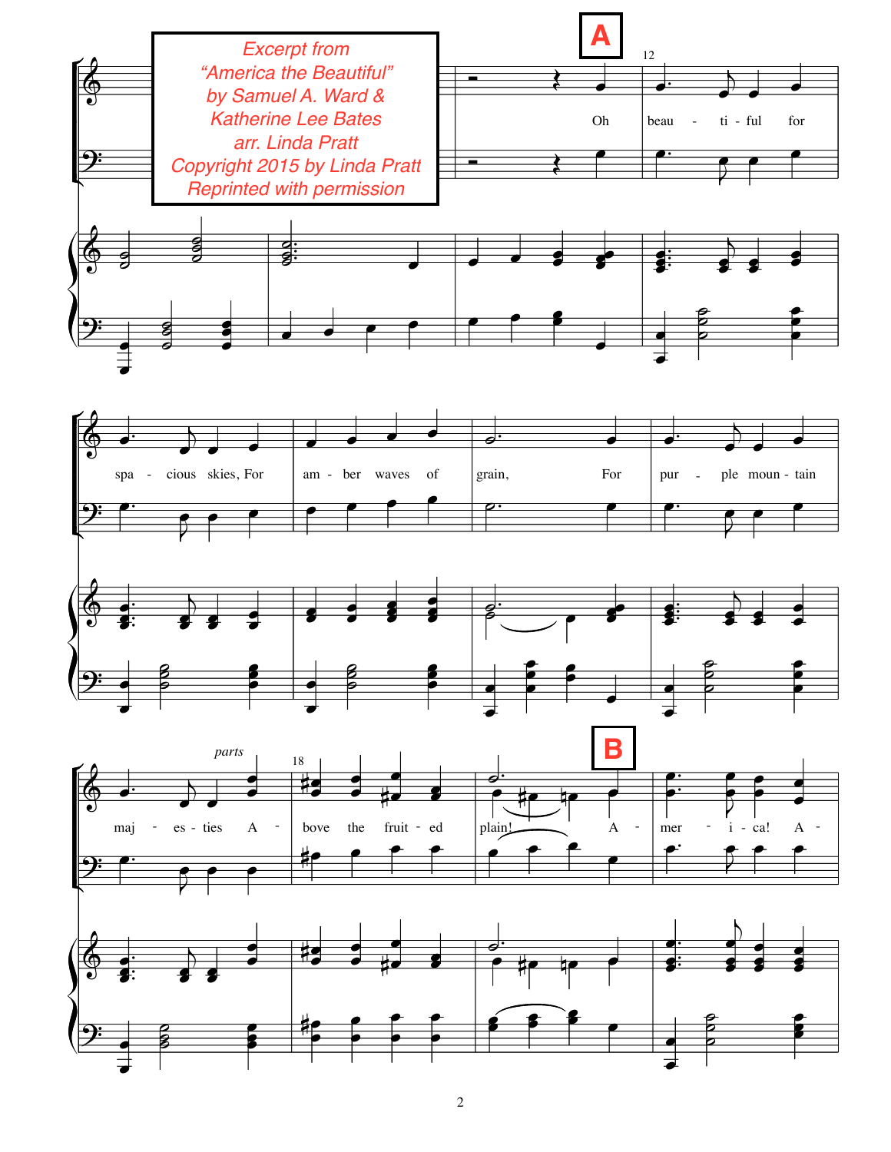